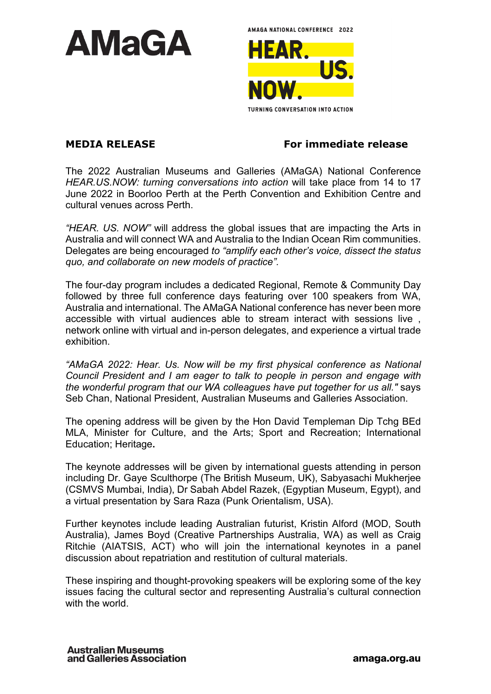

AMAGA NATIONAL CONFERENCE 2022 HEAR. **TURNING CONVERSATION INTO ACTION** 

**MEDIA RELEASE For immediate release** 

The 2022 Australian Museums and Galleries (AMaGA) National Conference *HEAR.US.NOW: turning conversations into action* will take place from 14 to 17 June 2022 in Boorloo Perth at the Perth Convention and Exhibition Centre and cultural venues across Perth.

*"HEAR. US. NOW"* will address the global issues that are impacting the Arts in Australia and will connect WA and Australia to the Indian Ocean Rim communities. Delegates are being encouraged *to "amplify each other's voice, dissect the status quo, and collaborate on new models of practice".*

The four-day program includes a dedicated Regional, Remote & Community Day followed by three full conference days featuring over 100 speakers from WA, Australia and international. The AMaGA National conference has never been more accessible with virtual audiences able to stream interact with sessions live , network online with virtual and in-person delegates, and experience a virtual trade exhibition.

*"AMaGA 2022: Hear. Us. Now will be my first physical conference as National Council President and I am eager to talk to people in person and engage with the wonderful program that our WA colleagues have put together for us all."* says Seb Chan, National President, Australian Museums and Galleries Association.

The opening address will be given by the Hon David Templeman Dip Tchg BEd MLA, Minister for Culture, and the Arts; Sport and Recreation; International Education; Heritage**.** 

The keynote addresses will be given by international guests attending in person including Dr. Gaye Sculthorpe (The British Museum, UK), Sabyasachi Mukherjee (CSMVS Mumbai, India), Dr Sabah Abdel Razek, (Egyptian Museum, Egypt), and a virtual presentation by Sara Raza (Punk Orientalism, USA).

Further keynotes include leading Australian futurist, Kristin Alford (MOD, South Australia), James Boyd (Creative Partnerships Australia, WA) as well as Craig Ritchie (AIATSIS, ACT) who will join the international keynotes in a panel discussion about repatriation and restitution of cultural materials.

These inspiring and thought-provoking speakers will be exploring some of the key issues facing the cultural sector and representing Australia's cultural connection with the world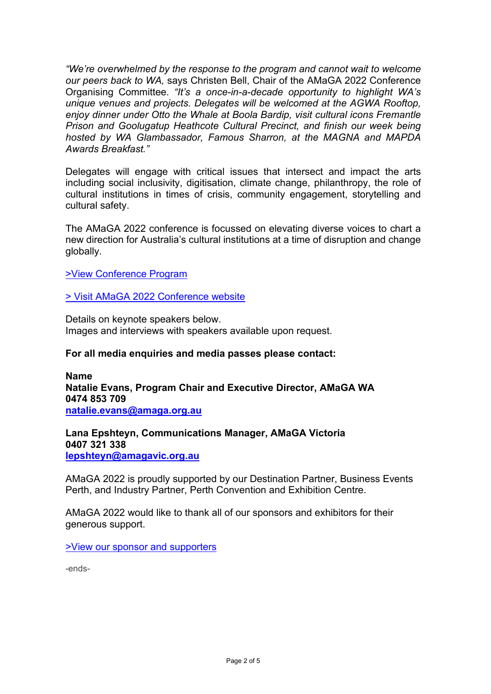*"We're overwhelmed by the response to the program and cannot wait to welcome our peers back to WA,* says Christen Bell, Chair of the AMaGA 2022 Conference Organising Committee. *"It's a once-in-a-decade opportunity to highlight WA's unique venues and projects. Delegates will be welcomed at the AGWA Rooftop, enjoy dinner under Otto the Whale at Boola Bardip, visit cultural icons Fremantle Prison and Goolugatup Heathcote Cultural Precinct, and finish our week being hosted by WA Glambassador, Famous Sharron, at the MAGNA and MAPDA Awards Breakfast."* 

Delegates will engage with critical issues that intersect and impact the arts including social inclusivity, digitisation, climate change, philanthropy, the role of cultural institutions in times of crisis, community engagement, storytelling and cultural safety.

The AMaGA 2022 conference is focussed on elevating diverse voices to chart a new direction for Australia's cultural institutions at a time of disruption and change globally.

[>View Conference Program](https://conlog.eventsair.com/amaga-2022/program) 

[> Visit AMaGA 2022 Conference website](https://conlog.eventsair.com/amaga-2022/) 

Details on keynote speakers below. Images and interviews with speakers available upon request.

## **For all media enquiries and media passes please contact:**

**Name Natalie Evans, Program Chair and Executive Director, AMaGA WA 0474 853 709 [natalie.evans@amaga.org.au](mailto:natalie.evans@amaga.org.au)** 

**Lana Epshteyn, Communications Manager, AMaGA Victoria 0407 321 338 [lepshteyn@amagavic.org.au](mailto:lepshteyn@amagavic.org.au)** 

AMaGA 2022 is proudly supported by our Destination Partner, Business Events Perth, and Industry Partner, Perth Convention and Exhibition Centre.

AMaGA 2022 would like to thank all of our sponsors and exhibitors for their generous support.

[>View our sponsor and supporters](https://conlog.eventsair.com/amaga-2022/sponsors-and-exhibitors) 

-ends-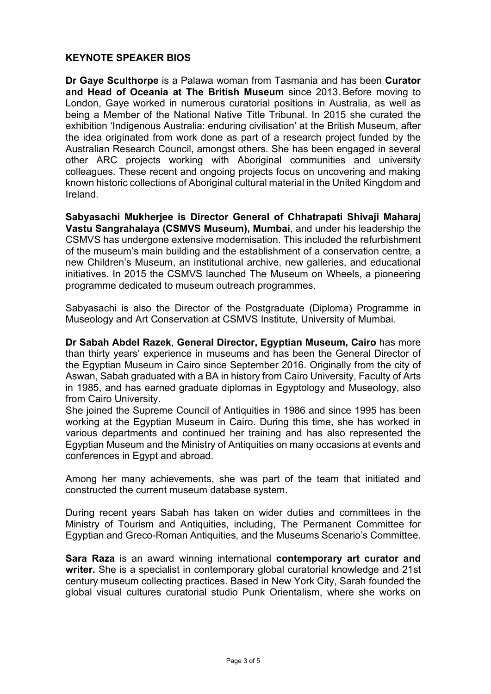## **KEYNOTE SPEAKER BIOS**

**Dr Gaye Sculthorpe** is a Palawa woman from Tasmania and has been **Curator and Head of Oceania at The British Museum** since 2013. Before moving to London, Gaye worked in numerous curatorial positions in Australia, as well as being a Member of the National Native Title Tribunal. In 2015 she curated the exhibition 'Indigenous Australia: enduring civilisation' at the British Museum, after the idea originated from work done as part of a research project funded by the Australian Research Council, amongst others. She has been engaged in several other ARC projects working with Aboriginal communities and university colleagues. These recent and ongoing projects focus on uncovering and making known historic collections of Aboriginal cultural material in the United Kingdom and Ireland.

**Sabyasachi Mukherjee is Director General of Chhatrapati Shivaji Maharaj Vastu Sangrahalaya (CSMVS Museum), Mumbai**, and under his leadership the CSMVS has undergone extensive modernisation. This included the refurbishment of the museum's main building and the establishment of a conservation centre, a new Children's Museum, an institutional archive, new galleries, and educational initiatives. In 2015 the CSMVS launched The Museum on Wheels, a pioneering programme dedicated to museum outreach programmes.

Sabyasachi is also the Director of the Postgraduate (Diploma) Programme in Museology and Art Conservation at CSMVS Institute, University of Mumbai. 

**Dr Sabah Abdel Razek**, **General Director, Egyptian Museum, Cairo** has more than thirty years' experience in museums and has been the General Director of the Egyptian Museum in Cairo since September 2016. Originally from the city of Aswan, Sabah graduated with a BA in history from Cairo University, Faculty of Arts in 1985, and has earned graduate diplomas in Egyptology and Museology, also from Cairo University.

She joined the Supreme Council of Antiquities in 1986 and since 1995 has been working at the Egyptian Museum in Cairo. During this time, she has worked in various departments and continued her training and has also represented the Egyptian Museum and the Ministry of Antiquities on many occasions at events and conferences in Egypt and abroad.

Among her many achievements, she was part of the team that initiated and constructed the current museum database system.

During recent years Sabah has taken on wider duties and committees in the Ministry of Tourism and Antiquities, including, The Permanent Committee for Egyptian and Greco-Roman Antiquities, and the Museums Scenario's Committee.

**Sara Raza** is an award winning international **contemporary art curator and writer.** She is a specialist in contemporary global curatorial knowledge and 21st century museum collecting practices. Based in New York City, Sarah founded the global visual cultures curatorial studio Punk Orientalism, where she works on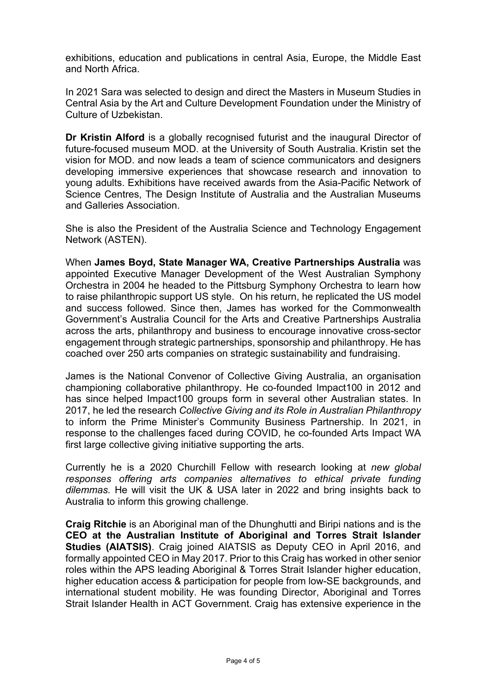exhibitions, education and publications in central Asia, Europe, the Middle East and North Africa.

In 2021 Sara was selected to design and direct the Masters in Museum Studies in Central Asia by the Art and Culture Development Foundation under the Ministry of Culture of Uzbekistan.

**Dr Kristin Alford** is a globally recognised futurist and the inaugural Director of future-focused museum MOD. at the University of South Australia. Kristin set the vision for MOD. and now leads a team of science communicators and designers developing immersive experiences that showcase research and innovation to young adults. Exhibitions have received awards from the Asia-Pacific Network of Science Centres, The Design Institute of Australia and the Australian Museums and Galleries Association.

She is also the President of the Australia Science and Technology Engagement Network (ASTEN).

When **James Boyd, State Manager WA, Creative Partnerships Australia** was appointed Executive Manager Development of the West Australian Symphony Orchestra in 2004 he headed to the Pittsburg Symphony Orchestra to learn how to raise philanthropic support US style. On his return, he replicated the US model and success followed. Since then, James has worked for the Commonwealth Government's Australia Council for the Arts and Creative Partnerships Australia across the arts, philanthropy and business to encourage innovative cross-sector engagement through strategic partnerships, sponsorship and philanthropy. He has coached over 250 arts companies on strategic sustainability and fundraising.

James is the National Convenor of Collective Giving Australia, an organisation championing collaborative philanthropy. He co-founded Impact100 in 2012 and has since helped Impact100 groups form in several other Australian states. In 2017, he led the research *Collective Giving and its Role in Australian Philanthropy*  to inform the Prime Minister's Community Business Partnership. In 2021, in response to the challenges faced during COVID, he co-founded Arts Impact WA first large collective giving initiative supporting the arts.

Currently he is a 2020 Churchill Fellow with research looking at *new global responses offering arts companies alternatives to ethical private funding dilemmas.* He will visit the UK & USA later in 2022 and bring insights back to Australia to inform this growing challenge.

**Craig Ritchie** is an Aboriginal man of the Dhunghutti and Biripi nations and is the **CEO at the Australian Institute of Aboriginal and Torres Strait Islander Studies (AIATSIS)**. Craig joined AIATSIS as Deputy CEO in April 2016, and formally appointed CEO in May 2017. Prior to this Craig has worked in other senior roles within the APS leading Aboriginal & Torres Strait Islander higher education, higher education access & participation for people from low-SE backgrounds, and international student mobility. He was founding Director, Aboriginal and Torres Strait Islander Health in ACT Government. Craig has extensive experience in the